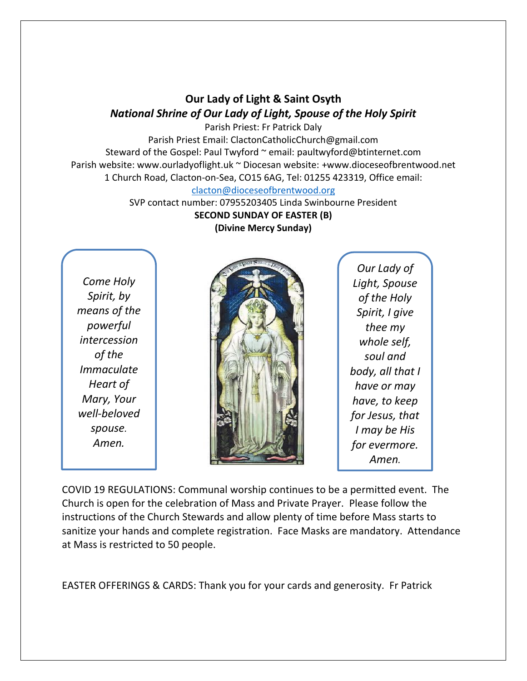## **Our Lady of Light & Saint Osyth** *National Shrine of Our Lady of Light, Spouse of the Holy Spirit*

Parish Priest: Fr Patrick Daly Parish Priest Email: ClactonCatholicChurch@gmail.com Steward of the Gospel: Paul Twyford ~ email: paultwyford@btinternet.com Parish website: www.ourladyoflight.uk ~ Diocesan website: +www.dioceseofbrentwood.net 1 Church Road, Clacton-on-Sea, CO15 6AG, Tel: 01255 423319, Office email: [clacton@dioceseofbrentwood.org](mailto:clacton@dioceseofbrentwood.org)

> SVP contact number: 07955203405 Linda Swinbourne President **SECOND SUNDAY OF EASTER (B) (Divine Mercy Sunday)**

*Come Holy Spirit, by means of the powerful intercession of the Immaculate Heart of Mary, Your well-beloved spouse. Amen.*



*Our Lady of Light, Spouse of the Holy Spirit, I give thee my whole self, soul and body, all that I have or may have, to keep for Jesus, that I may be His for evermore. Amen.*

COVID 19 REGULATIONS: Communal worship continues to be a permitted event. The Church is open for the celebration of Mass and Private Prayer. Please follow the instructions of the Church Stewards and allow plenty of time before Mass starts to sanitize your hands and complete registration. Face Masks are mandatory. Attendance at Mass is restricted to 50 people.

EASTER OFFERINGS & CARDS: Thank you for your cards and generosity. Fr Patrick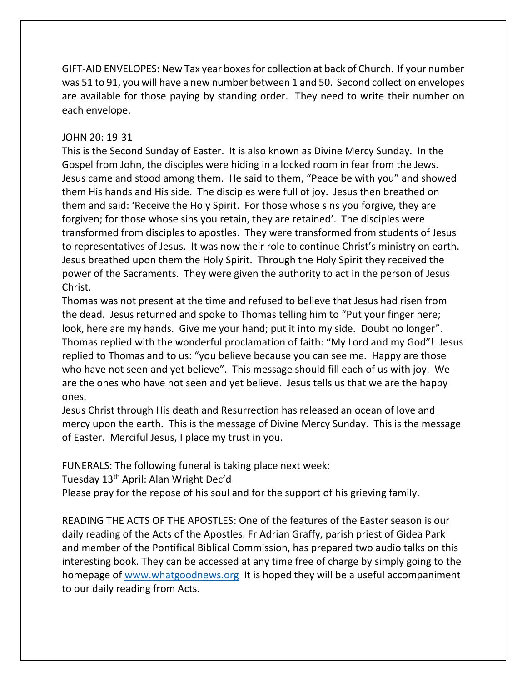GIFT-AID ENVELOPES: New Tax year boxes for collection at back of Church. If your number was 51 to 91, you will have a new number between 1 and 50. Second collection envelopes are available for those paying by standing order. They need to write their number on each envelope.

## JOHN 20: 19-31

This is the Second Sunday of Easter. It is also known as Divine Mercy Sunday. In the Gospel from John, the disciples were hiding in a locked room in fear from the Jews. Jesus came and stood among them. He said to them, "Peace be with you" and showed them His hands and His side. The disciples were full of joy. Jesus then breathed on them and said: 'Receive the Holy Spirit. For those whose sins you forgive, they are forgiven; for those whose sins you retain, they are retained'. The disciples were transformed from disciples to apostles. They were transformed from students of Jesus to representatives of Jesus. It was now their role to continue Christ's ministry on earth. Jesus breathed upon them the Holy Spirit. Through the Holy Spirit they received the power of the Sacraments. They were given the authority to act in the person of Jesus Christ.

Thomas was not present at the time and refused to believe that Jesus had risen from the dead. Jesus returned and spoke to Thomas telling him to "Put your finger here; look, here are my hands. Give me your hand; put it into my side. Doubt no longer". Thomas replied with the wonderful proclamation of faith: "My Lord and my God"! Jesus replied to Thomas and to us: "you believe because you can see me. Happy are those who have not seen and yet believe". This message should fill each of us with joy. We are the ones who have not seen and yet believe. Jesus tells us that we are the happy ones.

Jesus Christ through His death and Resurrection has released an ocean of love and mercy upon the earth. This is the message of Divine Mercy Sunday. This is the message of Easter. Merciful Jesus, I place my trust in you.

FUNERALS: The following funeral is taking place next week:

Tuesday 13<sup>th</sup> April: Alan Wright Dec'd

Please pray for the repose of his soul and for the support of his grieving family.

READING THE ACTS OF THE APOSTLES: One of the features of the Easter season is our daily reading of the Acts of the Apostles. Fr Adrian Graffy, parish priest of Gidea Park and member of the Pontifical Biblical Commission, has prepared two audio talks on this interesting book. They can be accessed at any time free of charge by simply going to the homepage of [www.whatgoodnews.org](http://www.whatgoodnews.org/) It is hoped they will be a useful accompaniment to our daily reading from Acts.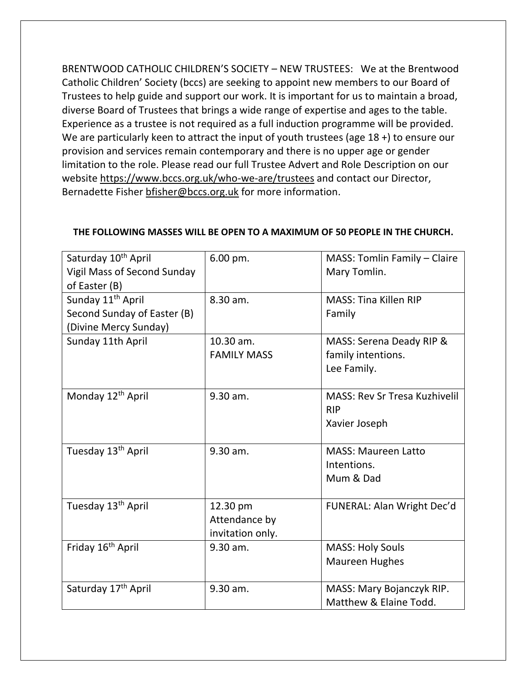BRENTWOOD CATHOLIC CHILDREN'S SOCIETY – NEW TRUSTEES: We at the Brentwood Catholic Children' Society (bccs) are seeking to appoint new members to our Board of Trustees to help guide and support our work. It is important for us to maintain a broad, diverse Board of Trustees that brings a wide range of expertise and ages to the table. Experience as a trustee is not required as a full induction programme will be provided. We are particularly keen to attract the input of youth trustees (age 18 +) to ensure our provision and services remain contemporary and there is no upper age or gender limitation to the role. Please read our full Trustee Advert and Role Description on our website<https://www.bccs.org.uk/who-we-are/trustees> and contact our Director, Bernadette Fisher [bfisher@bccs.org.uk](mailto:bfisher@bccs.org.uk) for more information.

| Saturday 10 <sup>th</sup> April<br><b>Vigil Mass of Second Sunday</b><br>of Easter (B) | 6.00 pm.                                      | MASS: Tomlin Family - Claire<br>Mary Tomlin.                        |
|----------------------------------------------------------------------------------------|-----------------------------------------------|---------------------------------------------------------------------|
| Sunday 11 <sup>th</sup> April<br>Second Sunday of Easter (B)<br>(Divine Mercy Sunday)  | 8.30 am.                                      | <b>MASS: Tina Killen RIP</b><br>Family                              |
| Sunday 11th April                                                                      | 10.30 am.<br><b>FAMILY MASS</b>               | MASS: Serena Deady RIP &<br>family intentions.<br>Lee Family.       |
| Monday 12 <sup>th</sup> April                                                          | 9.30 am.                                      | <b>MASS: Rev Sr Tresa Kuzhivelil</b><br><b>RIP</b><br>Xavier Joseph |
| Tuesday 13 <sup>th</sup> April                                                         | 9.30 am.                                      | <b>MASS: Maureen Latto</b><br>Intentions.<br>Mum & Dad              |
| Tuesday 13 <sup>th</sup> April                                                         | 12.30 pm<br>Attendance by<br>invitation only. | FUNERAL: Alan Wright Dec'd                                          |
| Friday 16 <sup>th</sup> April                                                          | 9.30 am.                                      | <b>MASS: Holy Souls</b><br><b>Maureen Hughes</b>                    |
| Saturday 17 <sup>th</sup> April                                                        | 9.30 am.                                      | MASS: Mary Bojanczyk RIP.<br>Matthew & Elaine Todd.                 |

## **THE FOLLOWING MASSES WILL BE OPEN TO A MAXIMUM OF 50 PEOPLE IN THE CHURCH.**